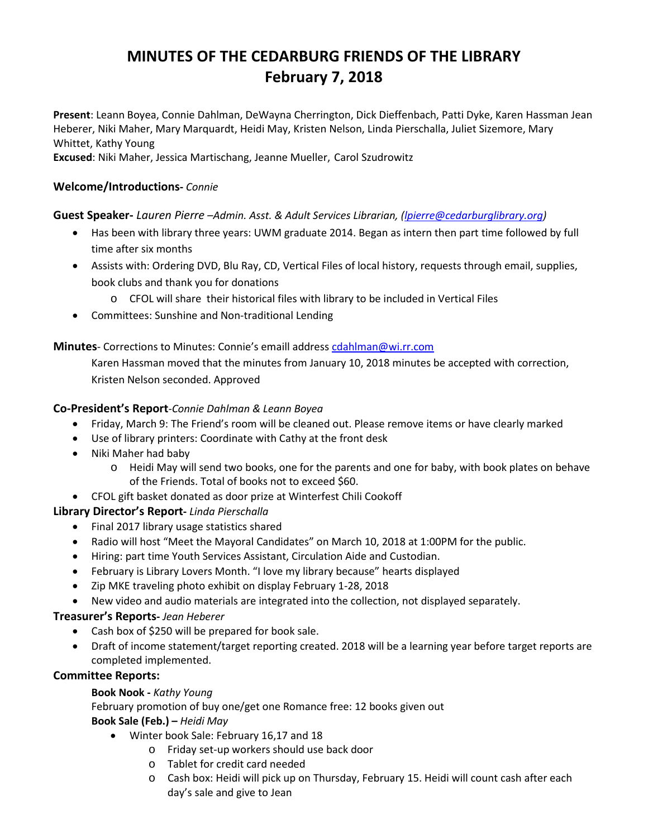# **MINUTES OF THE CEDARBURG FRIENDS OF THE LIBRARY February 7, 2018**

**Present**: Leann Boyea, Connie Dahlman, DeWayna Cherrington, Dick Dieffenbach, Patti Dyke, Karen Hassman Jean Heberer, Niki Maher, Mary Marquardt, Heidi May, Kristen Nelson, Linda Pierschalla, Juliet Sizemore, Mary Whittet, Kathy Young

**Excused**: Niki Maher, Jessica Martischang, Jeanne Mueller, Carol Szudrowitz

# **Welcome/Introductions-** *Connie*

# **Guest Speaker-** *Lauren Pierre –Admin. Asst. & Adult Services Librarian, [\(lpierre@cedarburglibrary.org\)](mailto:nkrajecki@cedarburglibrary.org)*

- Has been with library three years: UWM graduate 2014. Began as intern then part time followed by full time after six months
- Assists with: Ordering DVD, Blu Ray, CD, Vertical Files of local history, requests through email, supplies, book clubs and thank you for donations
	- o CFOL will share their historical files with library to be included in Vertical Files
- Committees: Sunshine and Non-traditional Lending

**Minutes**- Corrections to Minutes: Connie's emaill addres[s cdahlman@wi.rr.com](mailto:cdahlman@wi.rr.com)

Karen Hassman moved that the minutes from January 10, 2018 minutes be accepted with correction, Kristen Nelson seconded. Approved

# **Co-President's Report**-*Connie Dahlman & Leann Boyea*

- Friday, March 9: The Friend's room will be cleaned out. Please remove items or have clearly marked
- Use of library printers: Coordinate with Cathy at the front desk
- Niki Maher had baby
	- o Heidi May will send two books, one for the parents and one for baby, with book plates on behave of the Friends. Total of books not to exceed \$60.
- CFOL gift basket donated as door prize at Winterfest Chili Cookoff

# **Library Director's Report-** *Linda Pierschalla*

- Final 2017 library usage statistics shared
- Radio will host "Meet the Mayoral Candidates" on March 10, 2018 at 1:00PM for the public.
- Hiring: part time Youth Services Assistant, Circulation Aide and Custodian.
- February is Library Lovers Month. "I love my library because" hearts displayed
- Zip MKE traveling photo exhibit on display February 1-28, 2018
- New video and audio materials are integrated into the collection, not displayed separately.

# **Treasurer's Reports-** *Jean Heberer*

- Cash box of \$250 will be prepared for book sale.
- Draft of income statement/target reporting created. 2018 will be a learning year before target reports are completed implemented.

# **Committee Reports:**

## **Book Nook -** *Kathy Young*

February promotion of buy one/get one Romance free: 12 books given out **Book Sale (Feb.) –** *Heidi May*

- Winter book Sale: February 16,17 and 18
	- o Friday set-up workers should use back door
	- o Tablet for credit card needed
	- o Cash box: Heidi will pick up on Thursday, February 15. Heidi will count cash after each day's sale and give to Jean